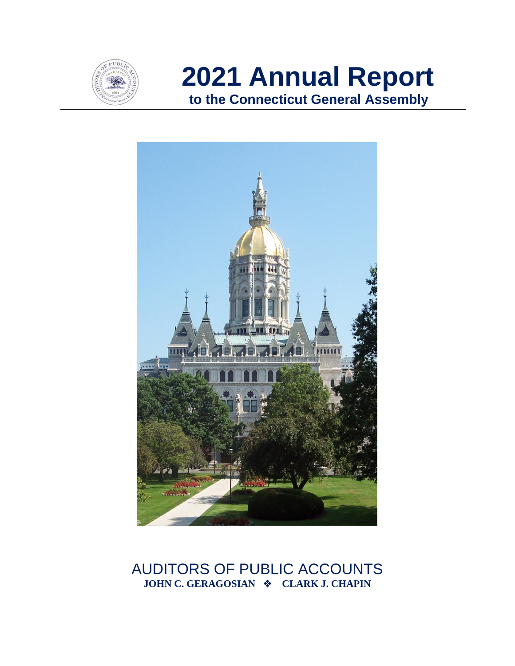

**2021 Annual Report to the Connecticut General Assembly**



## AUDITORS OF PUBLIC ACCOUNTS **JOHN C. GERAGOSIAN**  $\cdot$  **CLARK J. CHAPIN**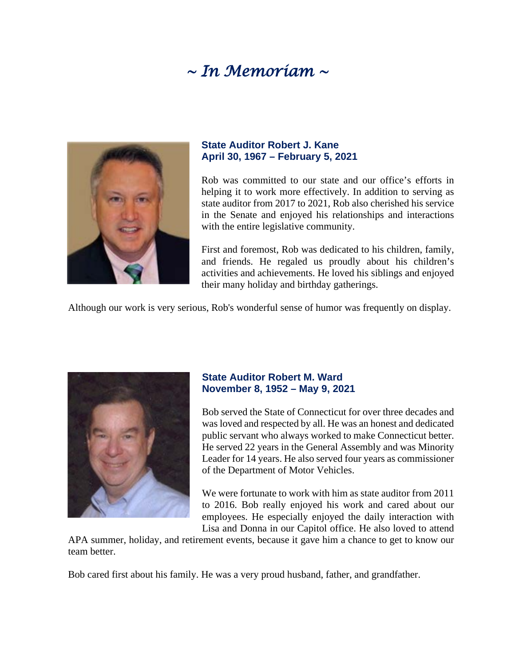# *~ In Memoriam ~*



#### **State Auditor Robert J. Kane April 30, 1967 – February 5, 2021**

Rob was committed to our state and our office's efforts in helping it to work more effectively. In addition to serving as state auditor from 2017 to 2021, Rob also cherished his service in the Senate and enjoyed his relationships and interactions with the entire legislative community.

First and foremost, Rob was dedicated to his children, family, and friends. He regaled us proudly about his children's activities and achievements. He loved his siblings and enjoyed their many holiday and birthday gatherings.

Although our work is very serious, Rob's wonderful sense of humor was frequently on display.



#### **State Auditor Robert M. Ward November 8, 1952 – May 9, 2021**

Bob served the State of Connecticut for over three decades and was loved and respected by all. He was an honest and dedicated public servant who always worked to make Connecticut better. He served 22 years in the General Assembly and was Minority Leader for 14 years. He also served four years as commissioner of the Department of Motor Vehicles.

We were fortunate to work with him as state auditor from 2011 to 2016. Bob really enjoyed his work and cared about our employees. He especially enjoyed the daily interaction with Lisa and Donna in our Capitol office. He also loved to attend

APA summer, holiday, and retirement events, because it gave him a chance to get to know our team better.

Bob cared first about his family. He was a very proud husband, father, and grandfather.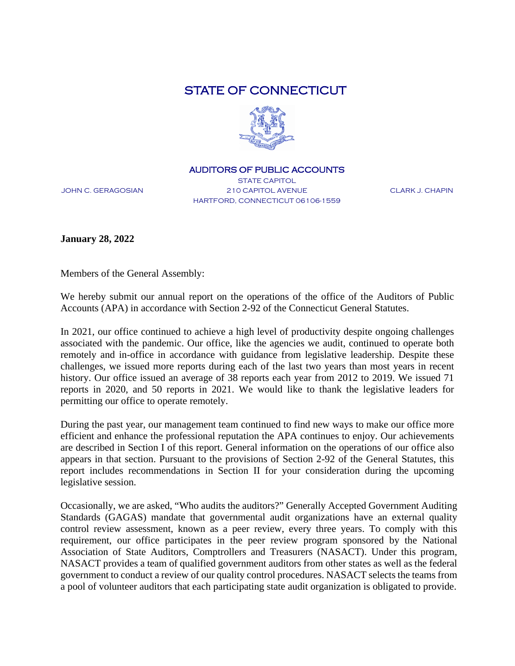## STATE OF CONNECTICUT



#### AUDITORS OF PUBLIC ACCOUNTS

JOHN C. GERAGOSIAN

STATE CAPITOL 210 CAPITOL AVENUE HARTFORD, CONNECTICUT 06106-1559

CLARK J. CHAPIN

**January 28, 2022**

Members of the General Assembly:

We hereby submit our annual report on the operations of the office of the Auditors of Public Accounts (APA) in accordance with Section 2-92 of the Connecticut General Statutes.

In 2021, our office continued to achieve a high level of productivity despite ongoing challenges associated with the pandemic. Our office, like the agencies we audit, continued to operate both remotely and in-office in accordance with guidance from legislative leadership. Despite these challenges, we issued more reports during each of the last two years than most years in recent history. Our office issued an average of 38 reports each year from 2012 to 2019. We issued 71 reports in 2020, and 50 reports in 2021. We would like to thank the legislative leaders for permitting our office to operate remotely.

During the past year, our management team continued to find new ways to make our office more efficient and enhance the professional reputation the APA continues to enjoy. Our achievements are described in Section I of this report. General information on the operations of our office also appears in that section. Pursuant to the provisions of Section 2-92 of the General Statutes, this report includes recommendations in Section II for your consideration during the upcoming legislative session.

Occasionally, we are asked, "Who audits the auditors?" Generally Accepted Government Auditing Standards (GAGAS) mandate that governmental audit organizations have an external quality control review assessment, known as a peer review, every three years. To comply with this requirement, our office participates in the peer review program sponsored by the National Association of State Auditors, Comptrollers and Treasurers (NASACT). Under this program, NASACT provides a team of qualified government auditors from other states as well as the federal government to conduct a review of our quality control procedures. NASACT selects the teams from a pool of volunteer auditors that each participating state audit organization is obligated to provide.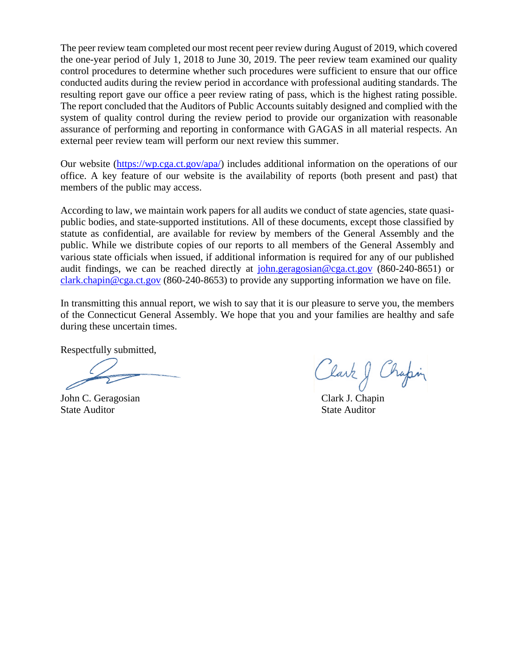The peer review team completed our most recent peer review during August of 2019, which covered the one-year period of July 1, 2018 to June 30, 2019. The peer review team examined our quality control procedures to determine whether such procedures were sufficient to ensure that our office conducted audits during the review period in accordance with professional auditing standards. The resulting report gave our office a peer review rating of pass, which is the highest rating possible. The report concluded that the Auditors of Public Accounts suitably designed and complied with the system of quality control during the review period to provide our organization with reasonable assurance of performing and reporting in conformance with GAGAS in all material respects. An external peer review team will perform our next review this summer.

Our website [\(https://wp.cga.ct.gov/apa/\)](https://wp.cga.ct.gov/apa/) includes additional information on the operations of our office. A key feature of our website is the availability of reports (both present and past) that members of the public may access.

According to law, we maintain work papers for all audits we conduct of state agencies, state quasipublic bodies, and state-supported institutions. All of these documents, except those classified by statute as confidential, are available for review by members of the General Assembly and the public. While we distribute copies of our reports to all members of the General Assembly and various state officials when issued, if additional information is required for any of our published audit findings, we can be reached directly at [john.geragosian@cga.ct.gov](mailto:john.geragosian@cga.ct.gov) (860-240-8651) or [clark.chapin@cga.ct.gov](mailto:clark.chapin@cga.ct.gov) (860-240-8653) to provide any supporting information we have on file.

In transmitting this annual report, we wish to say that it is our pleasure to serve you, the members of the Connecticut General Assembly. We hope that you and your families are healthy and safe during these uncertain times.

Respectfully submitted,

John C. Geragosian State Auditor

Clark & Chapin

Clark J. Chapin State Auditor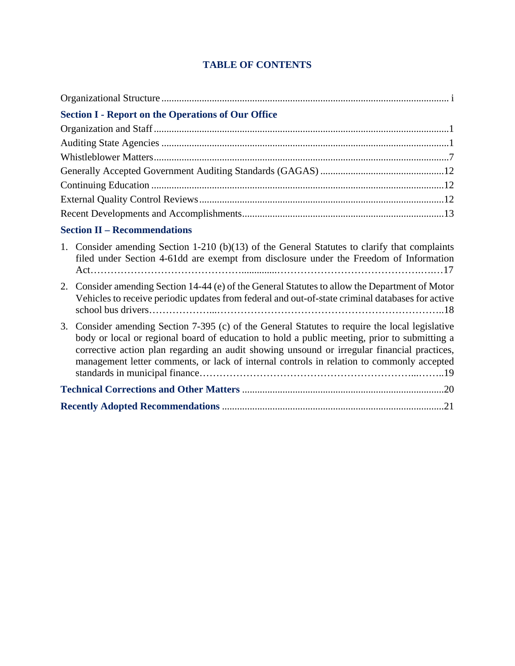## **TABLE OF CONTENTS**

| <b>Section I - Report on the Operations of Our Office</b>                                                                                                                                                                                                                                                                                                                                      |
|------------------------------------------------------------------------------------------------------------------------------------------------------------------------------------------------------------------------------------------------------------------------------------------------------------------------------------------------------------------------------------------------|
|                                                                                                                                                                                                                                                                                                                                                                                                |
|                                                                                                                                                                                                                                                                                                                                                                                                |
|                                                                                                                                                                                                                                                                                                                                                                                                |
|                                                                                                                                                                                                                                                                                                                                                                                                |
|                                                                                                                                                                                                                                                                                                                                                                                                |
|                                                                                                                                                                                                                                                                                                                                                                                                |
|                                                                                                                                                                                                                                                                                                                                                                                                |
| <b>Section II – Recommendations</b>                                                                                                                                                                                                                                                                                                                                                            |
| 1. Consider amending Section 1-210 (b)(13) of the General Statutes to clarify that complaints<br>filed under Section 4-61dd are exempt from disclosure under the Freedom of Information                                                                                                                                                                                                        |
| Consider amending Section 14-44 (e) of the General Statutes to allow the Department of Motor<br>2.<br>Vehicles to receive periodic updates from federal and out-of-state criminal databases for active                                                                                                                                                                                         |
| Consider amending Section 7-395 (c) of the General Statutes to require the local legislative<br>3.<br>body or local or regional board of education to hold a public meeting, prior to submitting a<br>corrective action plan regarding an audit showing unsound or irregular financial practices,<br>management letter comments, or lack of internal controls in relation to commonly accepted |
|                                                                                                                                                                                                                                                                                                                                                                                                |
|                                                                                                                                                                                                                                                                                                                                                                                                |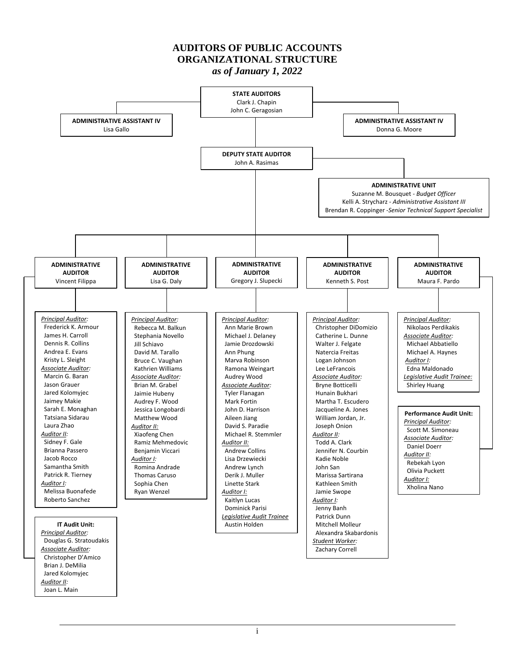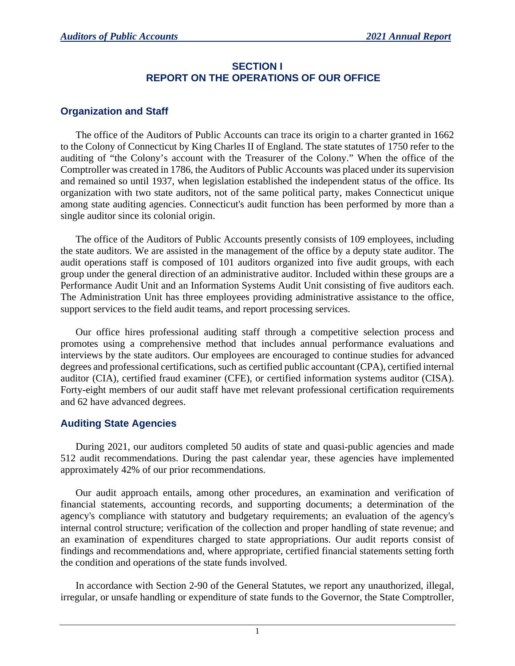## **SECTION I REPORT ON THE OPERATIONS OF OUR OFFICE**

## **Organization and Staff**

The office of the Auditors of Public Accounts can trace its origin to a charter granted in 1662 to the Colony of Connecticut by King Charles II of England. The state statutes of 1750 refer to the auditing of "the Colony's account with the Treasurer of the Colony." When the office of the Comptroller was created in 1786, the Auditors of Public Accounts was placed under its supervision and remained so until 1937, when legislation established the independent status of the office. Its organization with two state auditors, not of the same political party, makes Connecticut unique among state auditing agencies. Connecticut's audit function has been performed by more than a single auditor since its colonial origin.

The office of the Auditors of Public Accounts presently consists of 109 employees, including the state auditors. We are assisted in the management of the office by a deputy state auditor. The audit operations staff is composed of 101 auditors organized into five audit groups, with each group under the general direction of an administrative auditor. Included within these groups are a Performance Audit Unit and an Information Systems Audit Unit consisting of five auditors each. The Administration Unit has three employees providing administrative assistance to the office, support services to the field audit teams, and report processing services.

Our office hires professional auditing staff through a competitive selection process and promotes using a comprehensive method that includes annual performance evaluations and interviews by the state auditors. Our employees are encouraged to continue studies for advanced degrees and professional certifications, such as certified public accountant (CPA), certified internal auditor (CIA), certified fraud examiner (CFE), or certified information systems auditor (CISA). Forty-eight members of our audit staff have met relevant professional certification requirements and 62 have advanced degrees.

## **Auditing State Agencies**

During 2021, our auditors completed 50 audits of state and quasi-public agencies and made 512 audit recommendations. During the past calendar year, these agencies have implemented approximately 42% of our prior recommendations.

Our audit approach entails, among other procedures, an examination and verification of financial statements, accounting records, and supporting documents; a determination of the agency's compliance with statutory and budgetary requirements; an evaluation of the agency's internal control structure; verification of the collection and proper handling of state revenue; and an examination of expenditures charged to state appropriations. Our audit reports consist of findings and recommendations and, where appropriate, certified financial statements setting forth the condition and operations of the state funds involved.

In accordance with Section 2-90 of the General Statutes, we report any unauthorized, illegal, irregular, or unsafe handling or expenditure of state funds to the Governor, the State Comptroller,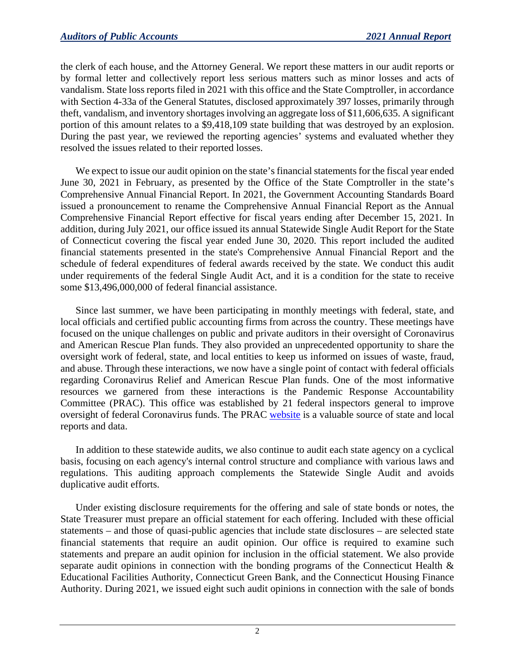the clerk of each house, and the Attorney General. We report these matters in our audit reports or by formal letter and collectively report less serious matters such as minor losses and acts of vandalism. State loss reports filed in 2021 with this office and the State Comptroller, in accordance with Section 4-33a of the General Statutes, disclosed approximately 397 losses, primarily through theft, vandalism, and inventory shortages involving an aggregate loss of \$11,606,635. A significant portion of this amount relates to a \$9,418,109 state building that was destroyed by an explosion. During the past year, we reviewed the reporting agencies' systems and evaluated whether they resolved the issues related to their reported losses.

We expect to issue our audit opinion on the state's financial statements for the fiscal year ended June 30, 2021 in February, as presented by the Office of the State Comptroller in the state's Comprehensive Annual Financial Report. In 2021, the Government Accounting Standards Board issued a pronouncement to rename the Comprehensive Annual Financial Report as the Annual Comprehensive Financial Report effective for fiscal years ending after December 15, 2021. In addition, during July 2021, our office issued its annual Statewide Single Audit Report for the State of Connecticut covering the fiscal year ended June 30, 2020. This report included the audited financial statements presented in the state's Comprehensive Annual Financial Report and the schedule of federal expenditures of federal awards received by the state. We conduct this audit under requirements of the federal Single Audit Act, and it is a condition for the state to receive some \$13,496,000,000 of federal financial assistance.

Since last summer, we have been participating in monthly meetings with federal, state, and local officials and certified public accounting firms from across the country. These meetings have focused on the unique challenges on public and private auditors in their oversight of Coronavirus and American Rescue Plan funds. They also provided an unprecedented opportunity to share the oversight work of federal, state, and local entities to keep us informed on issues of waste, fraud, and abuse. Through these interactions, we now have a single point of contact with federal officials regarding Coronavirus Relief and American Rescue Plan funds. One of the most informative resources we garnered from these interactions is the Pandemic Response Accountability Committee (PRAC). This office was established by 21 federal inspectors general to improve oversight of federal Coronavirus funds. The PRAC [website](https://www.pandemicoversight.gov/) is a valuable source of state and local reports and data.

In addition to these statewide audits, we also continue to audit each state agency on a cyclical basis, focusing on each agency's internal control structure and compliance with various laws and regulations. This auditing approach complements the Statewide Single Audit and avoids duplicative audit efforts.

Under existing disclosure requirements for the offering and sale of state bonds or notes, the State Treasurer must prepare an official statement for each offering. Included with these official statements – and those of quasi-public agencies that include state disclosures – are selected state financial statements that require an audit opinion. Our office is required to examine such statements and prepare an audit opinion for inclusion in the official statement. We also provide separate audit opinions in connection with the bonding programs of the Connecticut Health & Educational Facilities Authority, Connecticut Green Bank, and the Connecticut Housing Finance Authority. During 2021, we issued eight such audit opinions in connection with the sale of bonds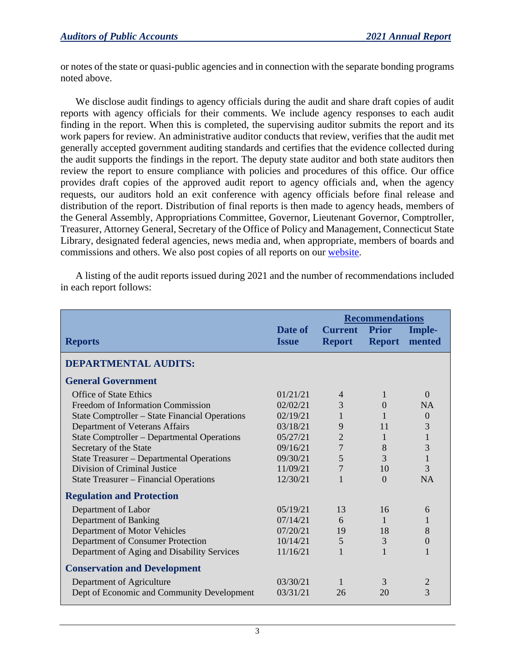or notes of the state or quasi-public agencies and in connection with the separate bonding programs noted above.

We disclose audit findings to agency officials during the audit and share draft copies of audit reports with agency officials for their comments. We include agency responses to each audit finding in the report. When this is completed, the supervising auditor submits the report and its work papers for review. An administrative auditor conducts that review, verifies that the audit met generally accepted government auditing standards and certifies that the evidence collected during the audit supports the findings in the report. The deputy state auditor and both state auditors then review the report to ensure compliance with policies and procedures of this office. Our office provides draft copies of the approved audit report to agency officials and, when the agency requests, our auditors hold an exit conference with agency officials before final release and distribution of the report. Distribution of final reports is then made to agency heads, members of the General Assembly, Appropriations Committee, Governor, Lieutenant Governor, Comptroller, Treasurer, Attorney General, Secretary of the Office of Policy and Management, Connecticut State Library, designated federal agencies, news media and, when appropriate, members of boards and commissions and others. We also post copies of all reports on our [website.](https://wp.cga.ct.gov/apa/)

A listing of the audit reports issued during 2021 and the number of recommendations included in each report follows:

|                                                       |                         | <b>Recommendations</b>          |                               |                  |
|-------------------------------------------------------|-------------------------|---------------------------------|-------------------------------|------------------|
| <b>Reports</b>                                        | Date of<br><b>Issue</b> | <b>Current</b><br><b>Report</b> | <b>Prior</b><br><b>Report</b> | Imple-<br>mented |
| <b>DEPARTMENTAL AUDITS:</b>                           |                         |                                 |                               |                  |
| <b>General Government</b>                             |                         |                                 |                               |                  |
| <b>Office of State Ethics</b>                         | 01/21/21                | 4                               | 1                             | $\Omega$         |
| Freedom of Information Commission                     | 02/02/21                | 3                               | $\Omega$                      | <b>NA</b>        |
| <b>State Comptroller – State Financial Operations</b> | 02/19/21                |                                 |                               | $\Omega$         |
| Department of Veterans Affairs                        | 03/18/21                | 9                               | 11                            | 3                |
| State Comptroller – Departmental Operations           | 05/27/21                | $\overline{2}$                  | 1                             | $\mathbf{1}$     |
| Secretary of the State                                | 09/16/21                | 7                               | 8                             | 3                |
| State Treasurer – Departmental Operations             | 09/30/21                | 5                               | 3                             | $\mathbf{1}$     |
| Division of Criminal Justice                          | 11/09/21                | $\overline{7}$                  | 10                            | 3                |
| <b>State Treasurer – Financial Operations</b>         | 12/30/21                |                                 | $\Omega$                      | <b>NA</b>        |
| <b>Regulation and Protection</b>                      |                         |                                 |                               |                  |
| Department of Labor                                   | 05/19/21                | 13                              | 16                            | 6                |
| Department of Banking                                 | 07/14/21                | 6                               | 1                             | 1                |
| Department of Motor Vehicles                          | 07/20/21                | 19                              | 18                            | 8                |
| Department of Consumer Protection                     | 10/14/21                | 5                               | 3                             | 0                |
| Department of Aging and Disability Services           | 11/16/21                |                                 |                               | 1                |
| <b>Conservation and Development</b>                   |                         |                                 |                               |                  |
| Department of Agriculture                             | 03/30/21                |                                 | 3                             |                  |
| Dept of Economic and Community Development            | 03/31/21                | 26                              | 20                            | 3                |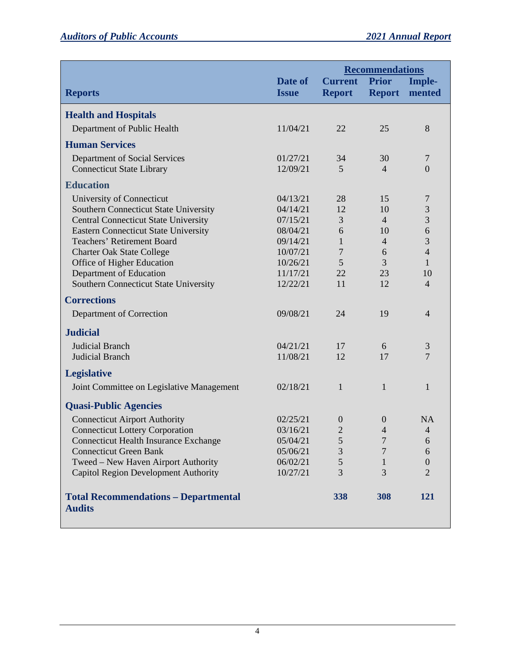|                                                              |                         | <b>Recommendations</b>          |                |                         |
|--------------------------------------------------------------|-------------------------|---------------------------------|----------------|-------------------------|
| <b>Reports</b>                                               | Date of<br><b>Issue</b> | <b>Current</b><br><b>Report</b> | <b>Prior</b>   | Imple-<br>Report mented |
|                                                              |                         |                                 |                |                         |
| <b>Health and Hospitals</b>                                  |                         |                                 |                |                         |
| Department of Public Health                                  | 11/04/21                | 22                              | 25             | 8                       |
| <b>Human Services</b>                                        |                         |                                 |                |                         |
| Department of Social Services                                | 01/27/21                | 34                              | 30             | $\overline{7}$          |
| <b>Connecticut State Library</b>                             | 12/09/21                | 5                               | 4              | $\overline{0}$          |
| <b>Education</b>                                             |                         |                                 |                |                         |
| University of Connecticut                                    | 04/13/21                | 28                              | 15             | 7                       |
| Southern Connecticut State University                        | 04/14/21                | 12                              | 10             | 3                       |
| <b>Central Connecticut State University</b>                  | 07/15/21                | 3                               | $\overline{4}$ | 3                       |
| <b>Eastern Connecticut State University</b>                  | 08/04/21                | 6                               | 10             | 6                       |
| <b>Teachers' Retirement Board</b>                            | 09/14/21                | 1                               | $\overline{4}$ | $\overline{3}$          |
| <b>Charter Oak State College</b>                             | 10/07/21                | 7                               | 6              | $\overline{4}$          |
| Office of Higher Education                                   | 10/26/21                | 5                               | 3              | 1                       |
| Department of Education                                      | 11/17/21                | 22                              | 23             | 10                      |
| Southern Connecticut State University                        | 12/22/21                | 11                              | 12             | $\overline{4}$          |
| <b>Corrections</b>                                           |                         |                                 |                |                         |
| Department of Correction                                     | 09/08/21                | 24                              | 19             | $\overline{4}$          |
| <b>Judicial</b>                                              |                         |                                 |                |                         |
| <b>Judicial Branch</b>                                       | 04/21/21                | 17                              | 6              | $\mathfrak{Z}$          |
| <b>Judicial Branch</b>                                       | 11/08/21                | 12                              | 17             | 7                       |
| <b>Legislative</b>                                           |                         |                                 |                |                         |
| Joint Committee on Legislative Management                    | 02/18/21                | $\mathbf{1}$                    | $\mathbf{1}$   | 1                       |
| <b>Quasi-Public Agencies</b>                                 |                         |                                 |                |                         |
| <b>Connecticut Airport Authority</b>                         | 02/25/21                | $\theta$                        | $\theta$       | <b>NA</b>               |
| <b>Connecticut Lottery Corporation</b>                       | 03/16/21                | $\overline{2}$                  | $\overline{4}$ | $\overline{4}$          |
| <b>Connecticut Health Insurance Exchange</b>                 | 05/04/21                | 5                               | 7              | 6                       |
| <b>Connecticut Green Bank</b>                                | 05/06/21                | 3                               |                | 6                       |
| Tweed - New Haven Airport Authority                          | 06/02/21                | 5                               | 1              | $\boldsymbol{0}$        |
| <b>Capitol Region Development Authority</b>                  | 10/27/21                | 3                               | 3              | $\overline{2}$          |
| <b>Total Recommendations - Departmental</b><br><b>Audits</b> |                         | 338                             | 308            | 121                     |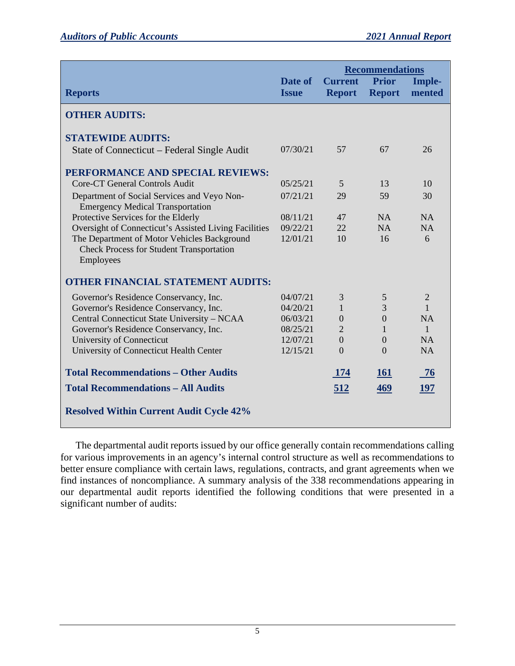|                                                                                                             |                         | <b>Recommendations</b>          |                               |                  |
|-------------------------------------------------------------------------------------------------------------|-------------------------|---------------------------------|-------------------------------|------------------|
| <b>Reports</b>                                                                                              | Date of<br><b>Issue</b> | <b>Current</b><br><b>Report</b> | <b>Prior</b><br><b>Report</b> | Imple-<br>mented |
| <b>OTHER AUDITS:</b>                                                                                        |                         |                                 |                               |                  |
| <b>STATEWIDE AUDITS:</b>                                                                                    |                         |                                 |                               |                  |
| State of Connecticut – Federal Single Audit                                                                 | 07/30/21                | 57                              | 67                            | 26               |
| PERFORMANCE AND SPECIAL REVIEWS:                                                                            |                         |                                 |                               |                  |
| Core-CT General Controls Audit                                                                              | 05/25/21                | 5                               | 13                            | 10               |
| Department of Social Services and Veyo Non-<br><b>Emergency Medical Transportation</b>                      | 07/21/21                | 29                              | 59                            | 30               |
| Protective Services for the Elderly                                                                         | 08/11/21                | 47                              | NA                            | <b>NA</b>        |
| Oversight of Connecticut's Assisted Living Facilities                                                       | 09/22/21                | 22                              | NA                            | <b>NA</b>        |
| The Department of Motor Vehicles Background<br><b>Check Process for Student Transportation</b><br>Employees | 12/01/21                | 10                              | 16                            | 6                |
| <b>OTHER FINANCIAL STATEMENT AUDITS:</b>                                                                    |                         |                                 |                               |                  |
| Governor's Residence Conservancy, Inc.                                                                      | 04/07/21                | 3                               | 5                             | $\overline{2}$   |
| Governor's Residence Conservancy, Inc.                                                                      | 04/20/21                | 1                               | 3                             | $\mathbf{1}$     |
| Central Connecticut State University - NCAA                                                                 | 06/03/21                | $\overline{0}$                  | $\overline{0}$                | NA               |
| Governor's Residence Conservancy, Inc.                                                                      | 08/25/21                | $\overline{2}$                  | 1                             | $\mathbf{1}$     |
| University of Connecticut                                                                                   | 12/07/21                | $\overline{0}$                  | $\overline{0}$                | NA               |
| University of Connecticut Health Center                                                                     | 12/15/21                | $\Omega$                        | $\Omega$                      | <b>NA</b>        |
| <b>Total Recommendations - Other Audits</b>                                                                 |                         | <b>174</b>                      | <b>161</b>                    | 76               |
| <b>Total Recommendations - All Audits</b>                                                                   |                         | 512                             | 469                           | 197              |
| <b>Resolved Within Current Audit Cycle 42%</b>                                                              |                         |                                 |                               |                  |

The departmental audit reports issued by our office generally contain recommendations calling for various improvements in an agency's internal control structure as well as recommendations to better ensure compliance with certain laws, regulations, contracts, and grant agreements when we find instances of noncompliance. A summary analysis of the 338 recommendations appearing in our departmental audit reports identified the following conditions that were presented in a significant number of audits: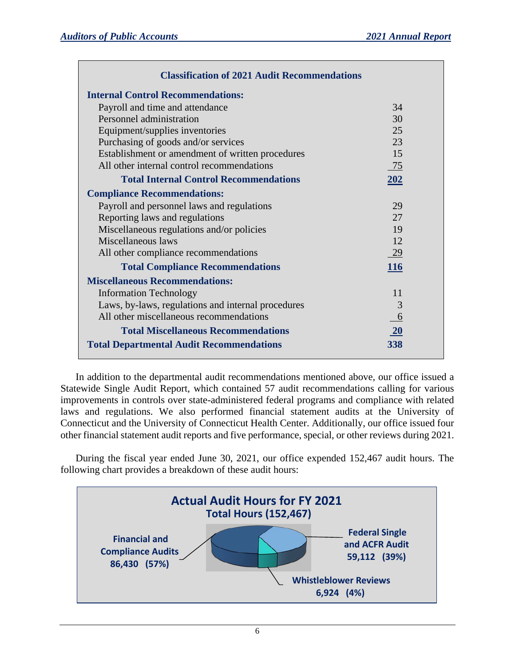| <b>Classification of 2021 Audit Recommendations</b> |     |  |  |  |
|-----------------------------------------------------|-----|--|--|--|
| <b>Internal Control Recommendations:</b>            |     |  |  |  |
| Payroll and time and attendance                     | 34  |  |  |  |
| Personnel administration                            | 30  |  |  |  |
| Equipment/supplies inventories                      | 25  |  |  |  |
| Purchasing of goods and/or services                 | 23  |  |  |  |
| Establishment or amendment of written procedures    | 15  |  |  |  |
| All other internal control recommendations          | 75  |  |  |  |
| <b>Total Internal Control Recommendations</b>       | 202 |  |  |  |
| <b>Compliance Recommendations:</b>                  |     |  |  |  |
| Payroll and personnel laws and regulations          | 29  |  |  |  |
| Reporting laws and regulations                      | 27  |  |  |  |
| Miscellaneous regulations and/or policies           | 19  |  |  |  |
| Miscellaneous laws                                  | 12  |  |  |  |
| All other compliance recommendations                | 29  |  |  |  |
| <b>Total Compliance Recommendations</b>             | 116 |  |  |  |
| <b>Miscellaneous Recommendations:</b>               |     |  |  |  |
| <b>Information Technology</b>                       | 11  |  |  |  |
| Laws, by-laws, regulations and internal procedures  | 3   |  |  |  |
| All other miscellaneous recommendations             | 6   |  |  |  |
| <b>Total Miscellaneous Recommendations</b>          | 20  |  |  |  |
| <b>Total Departmental Audit Recommendations</b>     | 338 |  |  |  |

In addition to the departmental audit recommendations mentioned above, our office issued a Statewide Single Audit Report, which contained 57 audit recommendations calling for various improvements in controls over state-administered federal programs and compliance with related laws and regulations. We also performed financial statement audits at the University of Connecticut and the University of Connecticut Health Center. Additionally, our office issued four other financial statement audit reports and five performance, special, or other reviews during 2021.

During the fiscal year ended June 30, 2021, our office expended 152,467 audit hours. The following chart provides a breakdown of these audit hours:

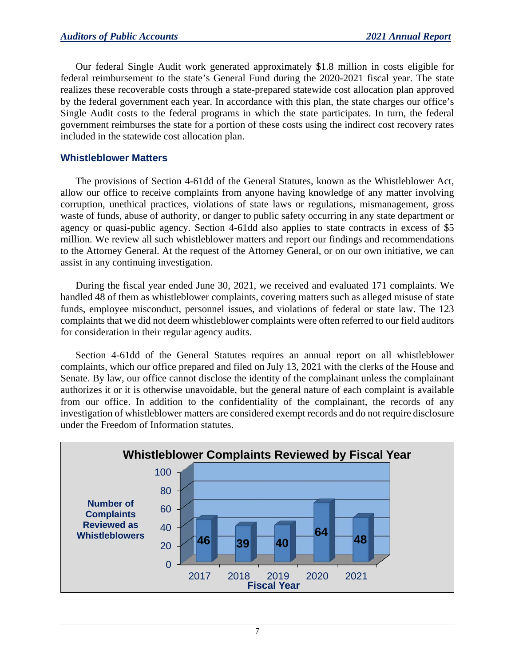Our federal Single Audit work generated approximately \$1.8 million in costs eligible for federal reimbursement to the state's General Fund during the 2020-2021 fiscal year. The state realizes these recoverable costs through a state-prepared statewide cost allocation plan approved by the federal government each year. In accordance with this plan, the state charges our office's Single Audit costs to the federal programs in which the state participates. In turn, the federal government reimburses the state for a portion of these costs using the indirect cost recovery rates included in the statewide cost allocation plan.

## **Whistleblower Matters**

The provisions of Section 4-61dd of the General Statutes, known as the Whistleblower Act, allow our office to receive complaints from anyone having knowledge of any matter involving corruption, unethical practices, violations of state laws or regulations, mismanagement, gross waste of funds, abuse of authority, or danger to public safety occurring in any state department or agency or quasi-public agency. Section 4-61dd also applies to state contracts in excess of \$5 million. We review all such whistleblower matters and report our findings and recommendations to the Attorney General. At the request of the Attorney General, or on our own initiative, we can assist in any continuing investigation.

During the fiscal year ended June 30, 2021, we received and evaluated 171 complaints. We handled 48 of them as whistleblower complaints, covering matters such as alleged misuse of state funds, employee misconduct, personnel issues, and violations of federal or state law. The 123 complaints that we did not deem whistleblower complaints were often referred to our field auditors for consideration in their regular agency audits.

Section 4-61dd of the General Statutes requires an annual report on all whistleblower complaints, which our office prepared and filed on July 13, 2021 with the clerks of the House and Senate. By law, our office cannot disclose the identity of the complainant unless the complainant authorizes it or it is otherwise unavoidable, but the general nature of each complaint is available from our office. In addition to the confidentiality of the complainant, the records of any investigation of whistleblower matters are considered exempt records and do not require disclosure under the Freedom of Information statutes.

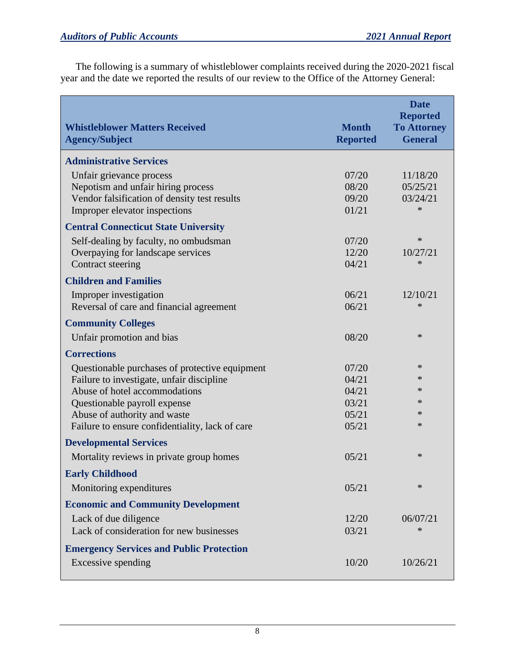The following is a summary of whistleblower complaints received during the 2020-2021 fiscal year and the date we reported the results of our review to the Office of the Attorney General:

| <b>Whistleblower Matters Received</b><br><b>Agency/Subject</b> | <b>Month</b><br><b>Reported</b> | <b>Date</b><br><b>Reported</b><br><b>To Attorney</b><br><b>General</b> |
|----------------------------------------------------------------|---------------------------------|------------------------------------------------------------------------|
| <b>Administrative Services</b>                                 |                                 |                                                                        |
| Unfair grievance process                                       | 07/20                           | 11/18/20                                                               |
| Nepotism and unfair hiring process                             | 08/20                           | 05/25/21                                                               |
| Vendor falsification of density test results                   | 09/20                           | 03/24/21                                                               |
| Improper elevator inspections                                  | 01/21                           | $\ast$                                                                 |
| <b>Central Connecticut State University</b>                    |                                 |                                                                        |
| Self-dealing by faculty, no ombudsman                          | 07/20                           | $\ast$                                                                 |
| Overpaying for landscape services                              | 12/20                           | 10/27/21                                                               |
| Contract steering                                              | 04/21                           | $\ast$                                                                 |
| <b>Children and Families</b>                                   |                                 |                                                                        |
| Improper investigation                                         | 06/21                           | 12/10/21                                                               |
| Reversal of care and financial agreement                       | 06/21                           | $\ast$                                                                 |
| <b>Community Colleges</b>                                      |                                 |                                                                        |
| Unfair promotion and bias                                      | 08/20                           | $\ast$                                                                 |
| <b>Corrections</b>                                             |                                 |                                                                        |
| Questionable purchases of protective equipment                 | 07/20                           | ∗                                                                      |
| Failure to investigate, unfair discipline                      | 04/21                           | $\ast$                                                                 |
| Abuse of hotel accommodations                                  | 04/21                           | $\ast$                                                                 |
| Questionable payroll expense                                   | 03/21                           | $\ast$                                                                 |
| Abuse of authority and waste                                   | 05/21                           | $\ast$                                                                 |
| Failure to ensure confidentiality, lack of care                | 05/21                           | $\ast$                                                                 |
| <b>Developmental Services</b>                                  |                                 |                                                                        |
| Mortality reviews in private group homes                       | 05/21                           | $\ast$                                                                 |
| <b>Early Childhood</b>                                         |                                 |                                                                        |
| Monitoring expenditures                                        | 05/21                           | $\ast$                                                                 |
| <b>Economic and Community Development</b>                      |                                 |                                                                        |
| Lack of due diligence                                          | 12/20                           | 06/07/21                                                               |
| Lack of consideration for new businesses                       | 03/21                           | $\ast$                                                                 |
| <b>Emergency Services and Public Protection</b>                |                                 |                                                                        |
| Excessive spending                                             | 10/20                           | 10/26/21                                                               |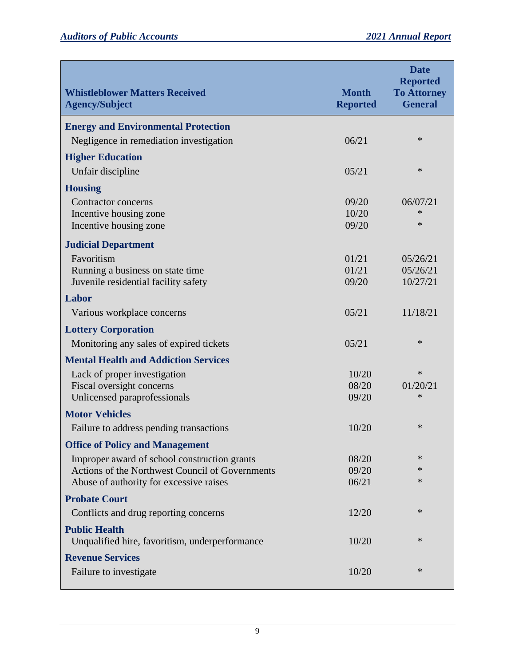| <b>Whistleblower Matters Received</b><br><b>Agency/Subject</b>         | <b>Month</b><br><b>Reported</b> | <b>Date</b><br><b>Reported</b><br><b>To Attorney</b><br><b>General</b> |
|------------------------------------------------------------------------|---------------------------------|------------------------------------------------------------------------|
| <b>Energy and Environmental Protection</b>                             |                                 |                                                                        |
| Negligence in remediation investigation                                | 06/21                           | $\ast$                                                                 |
| <b>Higher Education</b>                                                |                                 |                                                                        |
| Unfair discipline                                                      | 05/21                           | $\ast$                                                                 |
| <b>Housing</b>                                                         |                                 |                                                                        |
| Contractor concerns                                                    | 09/20                           | 06/07/21                                                               |
| Incentive housing zone                                                 | 10/20                           | ∗                                                                      |
| Incentive housing zone                                                 | 09/20                           | $\ast$                                                                 |
| <b>Judicial Department</b>                                             |                                 |                                                                        |
| Favoritism                                                             | 01/21                           | 05/26/21                                                               |
| Running a business on state time                                       | 01/21                           | 05/26/21                                                               |
| Juvenile residential facility safety                                   | 09/20                           | 10/27/21                                                               |
| Labor                                                                  |                                 |                                                                        |
| Various workplace concerns                                             | 05/21                           | 11/18/21                                                               |
| <b>Lottery Corporation</b>                                             |                                 |                                                                        |
| Monitoring any sales of expired tickets                                | 05/21                           | $\ast$                                                                 |
| <b>Mental Health and Addiction Services</b>                            |                                 |                                                                        |
| Lack of proper investigation                                           | 10/20                           | $\ast$                                                                 |
| Fiscal oversight concerns                                              | 08/20                           | 01/20/21                                                               |
| Unlicensed paraprofessionals                                           | 09/20                           | $\ast$                                                                 |
| <b>Motor Vehicles</b>                                                  |                                 |                                                                        |
| Failure to address pending transactions                                | 10/20                           | ∗                                                                      |
| <b>Office of Policy and Management</b>                                 |                                 |                                                                        |
| Improper award of school construction grants                           | 08/20                           | $\ast$                                                                 |
| Actions of the Northwest Council of Governments                        | 09/20                           | ∗<br>∗                                                                 |
| Abuse of authority for excessive raises                                | 06/21                           |                                                                        |
| <b>Probate Court</b>                                                   |                                 |                                                                        |
| Conflicts and drug reporting concerns                                  | 12/20                           | ∗                                                                      |
| <b>Public Health</b><br>Unqualified hire, favoritism, underperformance | 10/20                           | $\ast$                                                                 |
| <b>Revenue Services</b>                                                |                                 |                                                                        |
| Failure to investigate                                                 | 10/20                           | ∗                                                                      |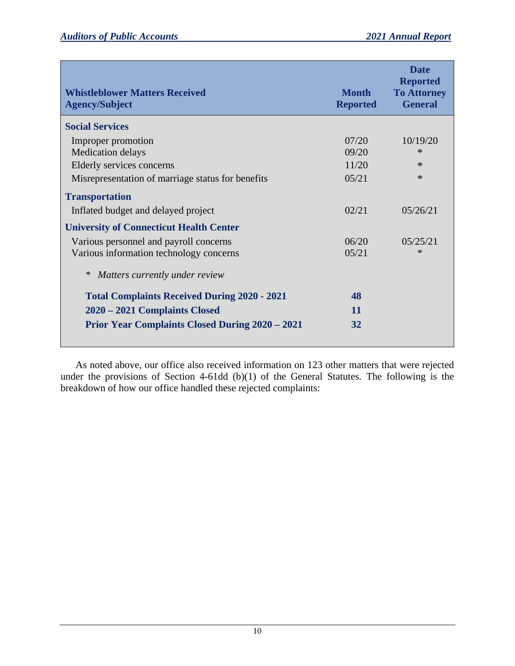| <b>Whistleblower Matters Received</b><br><b>Agency/Subject</b>                                                            | <b>Month</b><br><b>Reported</b>  | <b>Date</b><br><b>Reported</b><br><b>To Attorney</b><br><b>General</b> |
|---------------------------------------------------------------------------------------------------------------------------|----------------------------------|------------------------------------------------------------------------|
| <b>Social Services</b>                                                                                                    |                                  |                                                                        |
| Improper promotion<br>Medication delays<br>Elderly services concerns<br>Misrepresentation of marriage status for benefits | 07/20<br>09/20<br>11/20<br>05/21 | 10/19/20<br>$\ast$<br>$\ast$<br>$\ast$                                 |
| <b>Transportation</b>                                                                                                     |                                  |                                                                        |
| Inflated budget and delayed project                                                                                       | 02/21                            | 05/26/21                                                               |
| <b>University of Connecticut Health Center</b>                                                                            |                                  |                                                                        |
| Various personnel and payroll concerns<br>Various information technology concerns                                         | 06/20<br>0.5/21                  | 05/25/21<br>$\ast$                                                     |
| Matters currently under review                                                                                            |                                  |                                                                        |
| <b>Total Complaints Received During 2020 - 2021</b>                                                                       | 48                               |                                                                        |
| 2020 – 2021 Complaints Closed                                                                                             | 11                               |                                                                        |
| <b>Prior Year Complaints Closed During 2020 - 2021</b>                                                                    | 32                               |                                                                        |

As noted above, our office also received information on 123 other matters that were rejected under the provisions of Section 4-61dd (b)(1) of the General Statutes. The following is the breakdown of how our office handled these rejected complaints: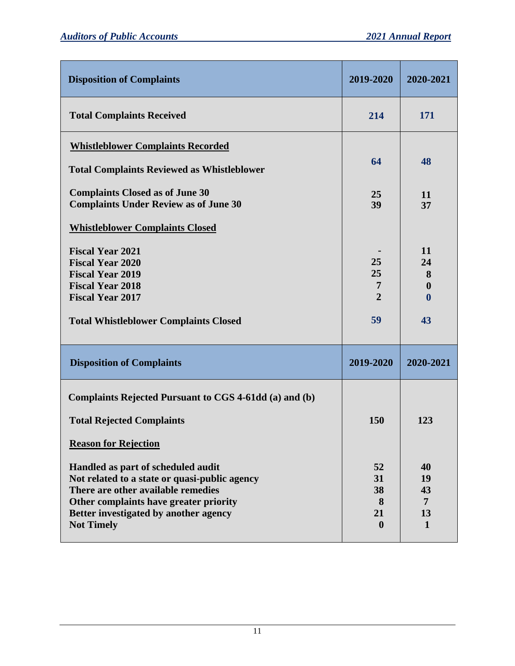| <b>Disposition of Complaints</b>                                                                                                                                                                                                  | 2019-2020                                     | 2020-2021                                 |
|-----------------------------------------------------------------------------------------------------------------------------------------------------------------------------------------------------------------------------------|-----------------------------------------------|-------------------------------------------|
| <b>Total Complaints Received</b>                                                                                                                                                                                                  | 214                                           | 171                                       |
| <b>Whistleblower Complaints Recorded</b>                                                                                                                                                                                          |                                               |                                           |
| <b>Total Complaints Reviewed as Whistleblower</b>                                                                                                                                                                                 | 64                                            | 48                                        |
| <b>Complaints Closed as of June 30</b><br><b>Complaints Under Review as of June 30</b>                                                                                                                                            | 25<br>39                                      | 11<br>37                                  |
| <b>Whistleblower Complaints Closed</b>                                                                                                                                                                                            |                                               |                                           |
| <b>Fiscal Year 2021</b><br><b>Fiscal Year 2020</b><br><b>Fiscal Year 2019</b><br><b>Fiscal Year 2018</b><br><b>Fiscal Year 2017</b>                                                                                               | 25<br>25<br>7<br>$\overline{2}$               | 11<br>24<br>8<br>$\bf{0}$<br>$\mathbf{0}$ |
| <b>Total Whistleblower Complaints Closed</b>                                                                                                                                                                                      | 59                                            | 43                                        |
| <b>Disposition of Complaints</b>                                                                                                                                                                                                  | 2019-2020                                     | 2020-2021                                 |
| Complaints Rejected Pursuant to CGS 4-61dd (a) and (b)                                                                                                                                                                            |                                               |                                           |
| <b>Total Rejected Complaints</b>                                                                                                                                                                                                  | 150                                           | 123                                       |
| <b>Reason for Rejection</b>                                                                                                                                                                                                       |                                               |                                           |
| Handled as part of scheduled audit<br>Not related to a state or quasi-public agency<br>There are other available remedies<br>Other complaints have greater priority<br>Better investigated by another agency<br><b>Not Timely</b> | 52<br>31<br>38<br>8<br>21<br>$\boldsymbol{0}$ | 40<br>19<br>43<br>7<br>13<br>$\mathbf{1}$ |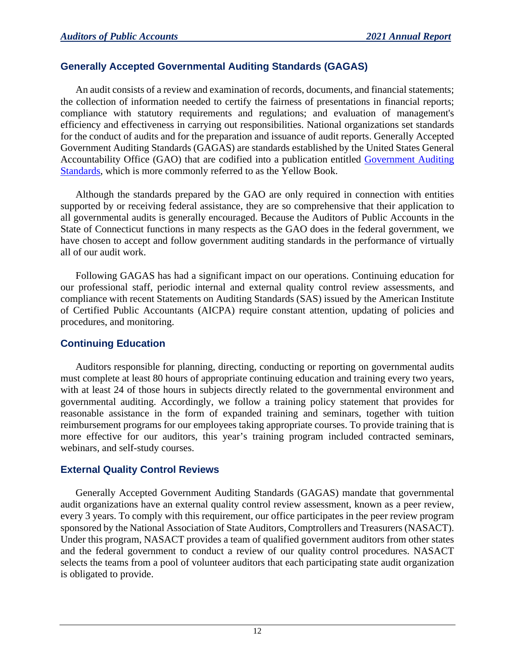## **Generally Accepted Governmental Auditing Standards (GAGAS)**

An audit consists of a review and examination of records, documents, and financial statements; the collection of information needed to certify the fairness of presentations in financial reports; compliance with statutory requirements and regulations; and evaluation of management's efficiency and effectiveness in carrying out responsibilities. National organizations set standards for the conduct of audits and for the preparation and issuance of audit reports. Generally Accepted Government Auditing Standards (GAGAS) are standards established by the United States General Accountability Office (GAO) that are codified into a publication entitled [Government Auditing](http://gao.gov/yellowbook/overview)  [Standards,](http://gao.gov/yellowbook/overview) which is more commonly referred to as the Yellow Book.

Although the standards prepared by the GAO are only required in connection with entities supported by or receiving federal assistance, they are so comprehensive that their application to all governmental audits is generally encouraged. Because the Auditors of Public Accounts in the State of Connecticut functions in many respects as the GAO does in the federal government, we have chosen to accept and follow government auditing standards in the performance of virtually all of our audit work.

Following GAGAS has had a significant impact on our operations. Continuing education for our professional staff, periodic internal and external quality control review assessments, and compliance with recent Statements on Auditing Standards (SAS) issued by the American Institute of Certified Public Accountants (AICPA) require constant attention, updating of policies and procedures, and monitoring.

## **Continuing Education**

Auditors responsible for planning, directing, conducting or reporting on governmental audits must complete at least 80 hours of appropriate continuing education and training every two years, with at least 24 of those hours in subjects directly related to the governmental environment and governmental auditing. Accordingly, we follow a training policy statement that provides for reasonable assistance in the form of expanded training and seminars, together with tuition reimbursement programs for our employees taking appropriate courses. To provide training that is more effective for our auditors, this year's training program included contracted seminars, webinars, and self-study courses.

## **External Quality Control Reviews**

Generally Accepted Government Auditing Standards (GAGAS) mandate that governmental audit organizations have an external quality control review assessment, known as a peer review, every 3 years. To comply with this requirement, our office participates in the peer review program sponsored by the National Association of State Auditors, Comptrollers and Treasurers (NASACT). Under this program, NASACT provides a team of qualified government auditors from other states and the federal government to conduct a review of our quality control procedures. NASACT selects the teams from a pool of volunteer auditors that each participating state audit organization is obligated to provide.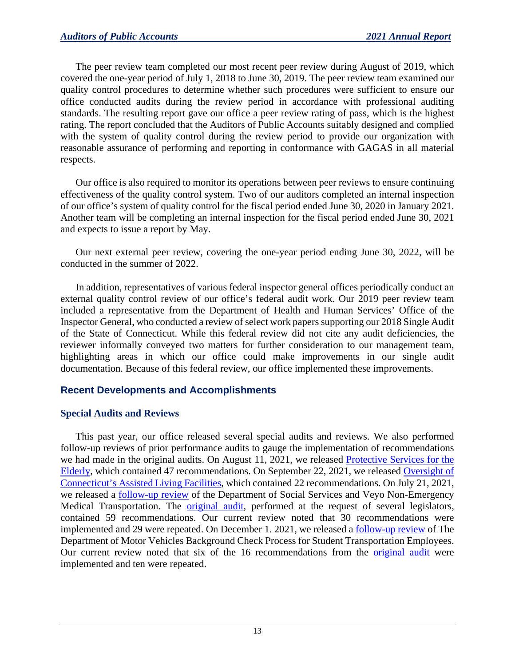The peer review team completed our most recent peer review during August of 2019, which covered the one-year period of July 1, 2018 to June 30, 2019. The peer review team examined our quality control procedures to determine whether such procedures were sufficient to ensure our office conducted audits during the review period in accordance with professional auditing standards. The resulting report gave our office a peer review rating of pass, which is the highest rating. The report concluded that the Auditors of Public Accounts suitably designed and complied with the system of quality control during the review period to provide our organization with reasonable assurance of performing and reporting in conformance with GAGAS in all material respects.

Our office is also required to monitor its operations between peer reviews to ensure continuing effectiveness of the quality control system. Two of our auditors completed an internal inspection of our office's system of quality control for the fiscal period ended June 30, 2020 in January 2021. Another team will be completing an internal inspection for the fiscal period ended June 30, 2021 and expects to issue a report by May.

Our next external peer review, covering the one-year period ending June 30, 2022, will be conducted in the summer of 2022.

In addition, representatives of various federal inspector general offices periodically conduct an external quality control review of our office's federal audit work. Our 2019 peer review team included a representative from the Department of Health and Human Services' Office of the Inspector General, who conducted a review of select work papers supporting our 2018 Single Audit of the State of Connecticut. While this federal review did not cite any audit deficiencies, the reviewer informally conveyed two matters for further consideration to our management team, highlighting areas in which our office could make improvements in our single audit documentation. Because of this federal review, our office implemented these improvements.

## **Recent Developments and Accomplishments**

## **Special Audits and Reviews**

This past year, our office released several special audits and reviews. We also performed follow-up reviews of prior performance audits to gauge the implementation of recommendations we had made in the original audits. On August 11, 2021, we released [Protective Services for the](https://wp.cga.ct.gov/apa/wp-content/cgacustom/reports/performance/PERFORMANCE_Protective%20Services%20for%20the%20Elderly_20210811.pdf)  [Elderly,](https://wp.cga.ct.gov/apa/wp-content/cgacustom/reports/performance/PERFORMANCE_Protective%20Services%20for%20the%20Elderly_20210811.pdf) which contained 47 recommendations. On September 22, 2021, we released [Oversight of](https://wp.cga.ct.gov/apa/wp-content/cgacustom/reports/performance/PERFORMANCE_Oversight%20of%20Connecticut%E2%80%99s%20Assisted%20Living%20Facilities_20210922.pdf)  [Connecticut's Assisted](https://wp.cga.ct.gov/apa/wp-content/cgacustom/reports/performance/PERFORMANCE_Oversight%20of%20Connecticut%E2%80%99s%20Assisted%20Living%20Facilities_20210922.pdf) Living Facilities, which contained 22 recommendations. On July 21, 2021, we released a [follow-up review](https://wp.cga.ct.gov/apa/wp-content/cgacustom/reports/performance/PERFORMANCE_Non-Emergency%20Medical%20Transportation%20(Follow%20Up%20Report)_20210721.pdf) of the Department of Social Services and Veyo Non-Emergency Medical Transportation. The [original audit,](https://wp.cga.ct.gov/apa/wp-content/cgacustom/reports/performance/PERFORMANCE_Department%20of%20Social%20Services%20and%20Veyo%20Non-Emergency%20Medical%20Transportation_20200219.pdf) performed at the request of several legislators, contained 59 recommendations. Our current review noted that 30 recommendations were implemented and 29 were repeated. On December 1. 2021, we released a [follow-up review](https://wp.cga.ct.gov/apa/wp-content/cgacustom/reports/performance/PERFORMANCE_The%20Department%20of%20Motor%20Vehicles%20Background%20Check%20Process%20for%20Student%20Transportation%20Employees_20211201.pdf) of The Department of Motor Vehicles Background Check Process for Student Transportation Employees. Our current review noted that six of the 16 recommendations from the **[original audit](https://wp.cga.ct.gov/apa/wp-content/cgacustom/reports/performance/PERFORMANCE_The%20Department%20of%20Motor%20Vehicles%20Background%20Check%20Process%20for%20Student%20Transportation%20Employees_20191212.pdf)** were implemented and ten were repeated.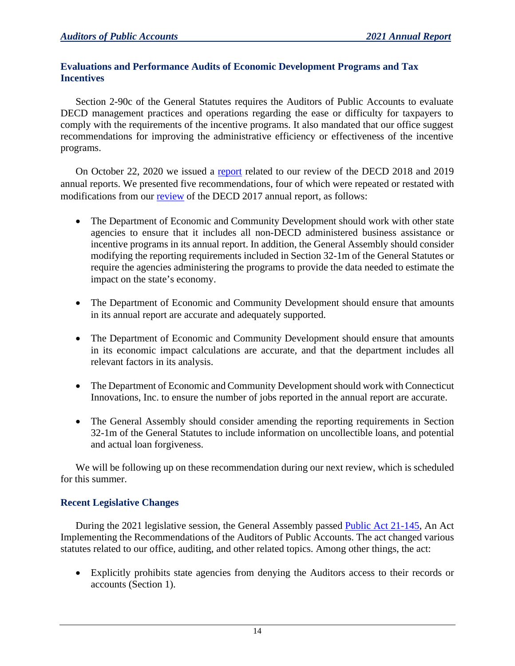## **Evaluations and Performance Audits of Economic Development Programs and Tax Incentives**

Section 2-90c of the General Statutes requires the Auditors of Public Accounts to evaluate DECD management practices and operations regarding the ease or difficulty for taxpayers to comply with the requirements of the incentive programs. It also mandated that our office suggest recommendations for improving the administrative efficiency or effectiveness of the incentive programs.

On October 22, 2020 we issued a [report](https://wp.cga.ct.gov/apa/wp-content/cgacustom/reports/special/SPECIAL_Evaluation%20of%20the%20Department%20of%20Economic%20and%20Community%20Development%202018%20and%202019%20Annual%20Reports_20201022.pdf) related to our review of the DECD 2018 and 2019 annual reports. We presented five recommendations, four of which were repeated or restated with modifications from our [review](https://wp.cga.ct.gov/apa/wp-content/cgacustom/reports/special/SPECIAL_Auditors%20Interim%20Report%20on%20the%20Department%20of%20Economic%20and%20Community%20Development%202017%20Annual%20Report_20180424.pdf) of the DECD 2017 annual report, as follows:

- The Department of Economic and Community Development should work with other state agencies to ensure that it includes all non-DECD administered business assistance or incentive programs in its annual report. In addition, the General Assembly should consider modifying the reporting requirements included in Section 32-1m of the General Statutes or require the agencies administering the programs to provide the data needed to estimate the impact on the state's economy.
- The Department of Economic and Community Development should ensure that amounts in its annual report are accurate and adequately supported.
- The Department of Economic and Community Development should ensure that amounts in its economic impact calculations are accurate, and that the department includes all relevant factors in its analysis.
- The Department of Economic and Community Development should work with Connecticut Innovations, Inc. to ensure the number of jobs reported in the annual report are accurate.
- The General Assembly should consider amending the reporting requirements in Section 32-1m of the General Statutes to include information on uncollectible loans, and potential and actual loan forgiveness.

We will be following up on these recommendation during our next review, which is scheduled for this summer.

## **Recent Legislative Changes**

During the 2021 legislative session, the General Assembly passed [Public Act 21-145,](https://cga.ct.gov/2021/act/pa/pdf/2021PA-00145-R00SB-01071-PA.pdf) An Act Implementing the Recommendations of the Auditors of Public Accounts. The act changed various statutes related to our office, auditing, and other related topics. Among other things, the act:

• Explicitly prohibits state agencies from denying the Auditors access to their records or accounts (Section 1).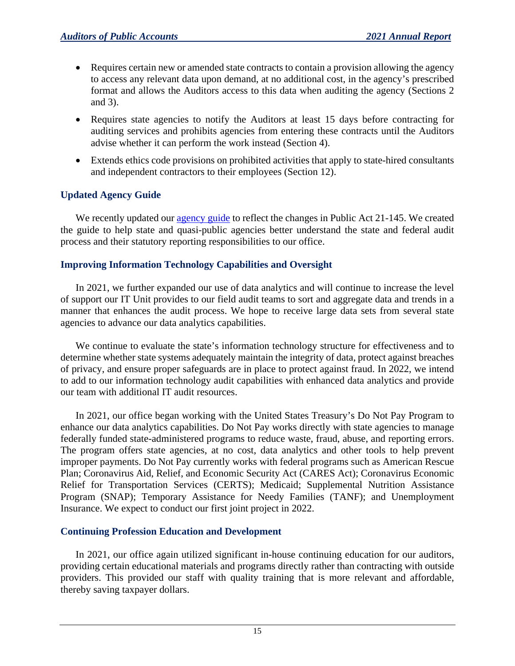- Requires certain new or amended state contracts to contain a provision allowing the agency to access any relevant data upon demand, at no additional cost, in the agency's prescribed format and allows the Auditors access to this data when auditing the agency (Sections 2 and 3).
- Requires state agencies to notify the Auditors at least 15 days before contracting for auditing services and prohibits agencies from entering these contracts until the Auditors advise whether it can perform the work instead (Section 4).
- Extends ethics code provisions on prohibited activities that apply to state-hired consultants and independent contractors to their employees (Section 12).

## **Updated Agency Guide**

We recently updated our [agency guide](https://wp.cga.ct.gov/apa/wp-content/uploads/2022/01/Agency-Guide-Final-Jan-2022.pdf) to reflect the changes in Public Act 21-145. We created the guide to help state and quasi-public agencies better understand the state and federal audit process and their statutory reporting responsibilities to our office.

## **Improving Information Technology Capabilities and Oversight**

In 2021, we further expanded our use of data analytics and will continue to increase the level of support our IT Unit provides to our field audit teams to sort and aggregate data and trends in a manner that enhances the audit process. We hope to receive large data sets from several state agencies to advance our data analytics capabilities.

We continue to evaluate the state's information technology structure for effectiveness and to determine whether state systems adequately maintain the integrity of data, protect against breaches of privacy, and ensure proper safeguards are in place to protect against fraud. In 2022, we intend to add to our information technology audit capabilities with enhanced data analytics and provide our team with additional IT audit resources.

In 2021, our office began working with the United States Treasury's Do Not Pay Program to enhance our data analytics capabilities. Do Not Pay works directly with state agencies to manage federally funded state-administered programs to reduce waste, fraud, abuse, and reporting errors. The program offers state agencies, at no cost, data analytics and other tools to help prevent improper payments. Do Not Pay currently works with federal programs such as American Rescue Plan; Coronavirus Aid, Relief, and Economic Security Act (CARES Act); Coronavirus Economic Relief for Transportation Services (CERTS); Medicaid; Supplemental Nutrition Assistance Program (SNAP); Temporary Assistance for Needy Families (TANF); and Unemployment Insurance. We expect to conduct our first joint project in 2022.

## **Continuing Profession Education and Development**

In 2021, our office again utilized significant in-house continuing education for our auditors, providing certain educational materials and programs directly rather than contracting with outside providers. This provided our staff with quality training that is more relevant and affordable, thereby saving taxpayer dollars.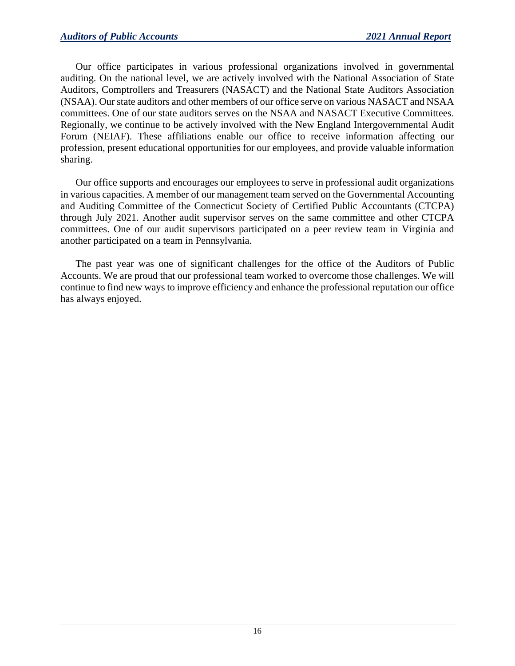Our office participates in various professional organizations involved in governmental auditing. On the national level, we are actively involved with the National Association of State Auditors, Comptrollers and Treasurers (NASACT) and the National State Auditors Association (NSAA). Our state auditors and other members of our office serve on various NASACT and NSAA committees. One of our state auditors serves on the NSAA and NASACT Executive Committees. Regionally, we continue to be actively involved with the New England Intergovernmental Audit Forum (NEIAF). These affiliations enable our office to receive information affecting our profession, present educational opportunities for our employees, and provide valuable information sharing.

Our office supports and encourages our employees to serve in professional audit organizations in various capacities. A member of our management team served on the Governmental Accounting and Auditing Committee of the Connecticut Society of Certified Public Accountants (CTCPA) through July 2021. Another audit supervisor serves on the same committee and other CTCPA committees. One of our audit supervisors participated on a peer review team in Virginia and another participated on a team in Pennsylvania.

The past year was one of significant challenges for the office of the Auditors of Public Accounts. We are proud that our professional team worked to overcome those challenges. We will continue to find new ways to improve efficiency and enhance the professional reputation our office has always enjoyed.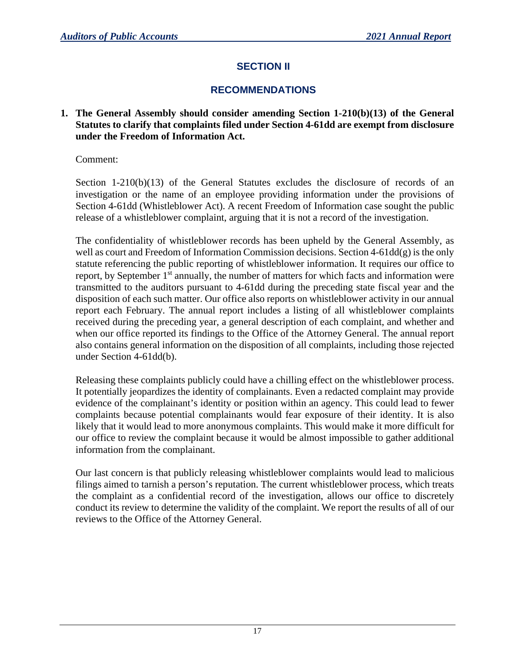## **SECTION II**

## **RECOMMENDATIONS**

#### **1. The General Assembly should consider amending Section 1-210(b)(13) of the General Statutes to clarify that complaints filed under Section 4-61dd are exempt from disclosure under the Freedom of Information Act.**

Comment:

Section  $1-210(b)(13)$  of the General Statutes excludes the disclosure of records of an investigation or the name of an employee providing information under the provisions of Section 4-61dd (Whistleblower Act). A recent Freedom of Information case sought the public release of a whistleblower complaint, arguing that it is not a record of the investigation.

The confidentiality of whistleblower records has been upheld by the General Assembly, as well as court and Freedom of Information Commission decisions. Section 4-61dd(g) is the only statute referencing the public reporting of whistleblower information. It requires our office to report, by September 1<sup>st</sup> annually, the number of matters for which facts and information were transmitted to the auditors pursuant to 4-61dd during the preceding state fiscal year and the disposition of each such matter. Our office also reports on whistleblower activity in our annual report each February. The annual report includes a listing of all whistleblower complaints received during the preceding year, a general description of each complaint, and whether and when our office reported its findings to the Office of the Attorney General. The annual report also contains general information on the disposition of all complaints, including those rejected under Section 4-61dd(b).

Releasing these complaints publicly could have a chilling effect on the whistleblower process. It potentially jeopardizes the identity of complainants. Even a redacted complaint may provide evidence of the complainant's identity or position within an agency. This could lead to fewer complaints because potential complainants would fear exposure of their identity. It is also likely that it would lead to more anonymous complaints. This would make it more difficult for our office to review the complaint because it would be almost impossible to gather additional information from the complainant.

Our last concern is that publicly releasing whistleblower complaints would lead to malicious filings aimed to tarnish a person's reputation. The current whistleblower process, which treats the complaint as a confidential record of the investigation, allows our office to discretely conduct its review to determine the validity of the complaint. We report the results of all of our reviews to the Office of the Attorney General.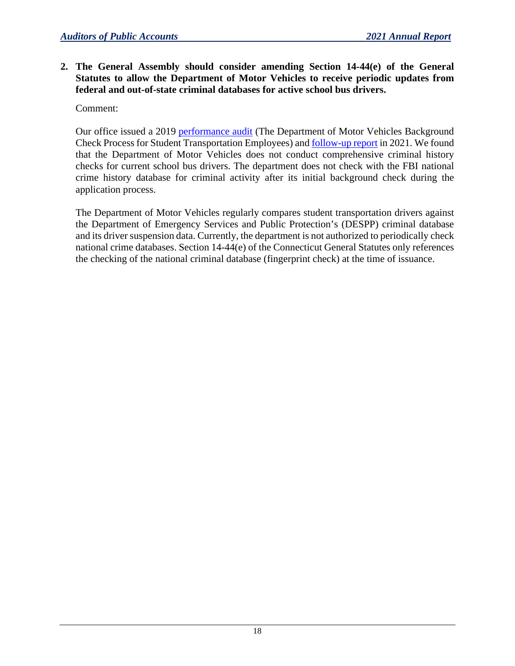**2. The General Assembly should consider amending Section 14-44(e) of the General Statutes to allow the Department of Motor Vehicles to receive periodic updates from federal and out-of-state criminal databases for active school bus drivers.**

Comment:

Our office issued a 2019 [performance audit](https://wp.cga.ct.gov/apa/wp-content/cgacustom/reports/performance/PERFORMANCE_The%20Department%20of%20Motor%20Vehicles%20Background%20Check%20Process%20for%20Student%20Transportation%20Employees_20191212.pdf) (The Department of Motor Vehicles Background Check Process for Student Transportation Employees) and **follow-up report** in 2021. We found that the Department of Motor Vehicles does not conduct comprehensive criminal history checks for current school bus drivers. The department does not check with the FBI national crime history database for criminal activity after its initial background check during the application process.

The Department of Motor Vehicles regularly compares student transportation drivers against the Department of Emergency Services and Public Protection's (DESPP) criminal database and its driver suspension data. Currently, the department is not authorized to periodically check national crime databases. Section 14-44(e) of the Connecticut General Statutes only references the checking of the national criminal database (fingerprint check) at the time of issuance.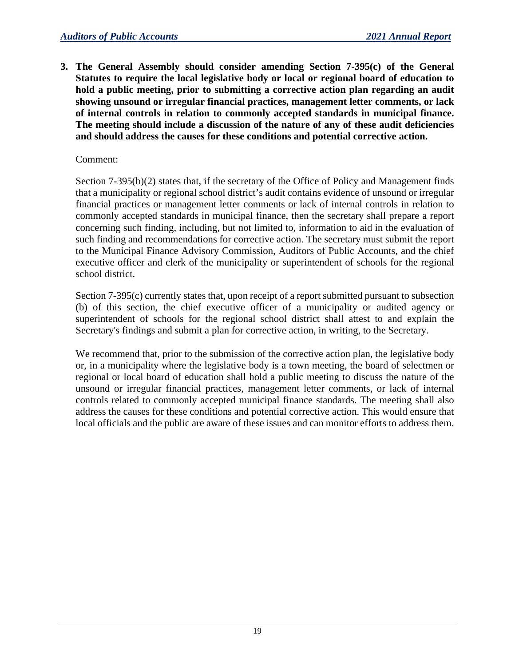**3. The General Assembly should consider amending Section 7-395(c) of the General Statutes to require the local legislative body or local or regional board of education to hold a public meeting, prior to submitting a corrective action plan regarding an audit showing unsound or irregular financial practices, management letter comments, or lack of internal controls in relation to commonly accepted standards in municipal finance. The meeting should include a discussion of the nature of any of these audit deficiencies and should address the causes for these conditions and potential corrective action.**

## Comment:

Section 7-395(b)(2) states that, if the secretary of the Office of Policy and Management finds that a municipality or regional school district's audit contains evidence of unsound or irregular financial practices or management letter comments or lack of internal controls in relation to commonly accepted standards in municipal finance, then the secretary shall prepare a report concerning such finding, including, but not limited to, information to aid in the evaluation of such finding and recommendations for corrective action. The secretary must submit the report to the Municipal Finance Advisory Commission, Auditors of Public Accounts, and the chief executive officer and clerk of the municipality or superintendent of schools for the regional school district.

Section 7-395(c) currently states that, upon receipt of a report submitted pursuant to subsection (b) of this section, the chief executive officer of a municipality or audited agency or superintendent of schools for the regional school district shall attest to and explain the Secretary's findings and submit a plan for corrective action, in writing, to the Secretary.

We recommend that, prior to the submission of the corrective action plan, the legislative body or, in a municipality where the legislative body is a town meeting, the board of selectmen or regional or local board of education shall hold a public meeting to discuss the nature of the unsound or irregular financial practices, management letter comments, or lack of internal controls related to commonly accepted municipal finance standards. The meeting shall also address the causes for these conditions and potential corrective action. This would ensure that local officials and the public are aware of these issues and can monitor efforts to address them.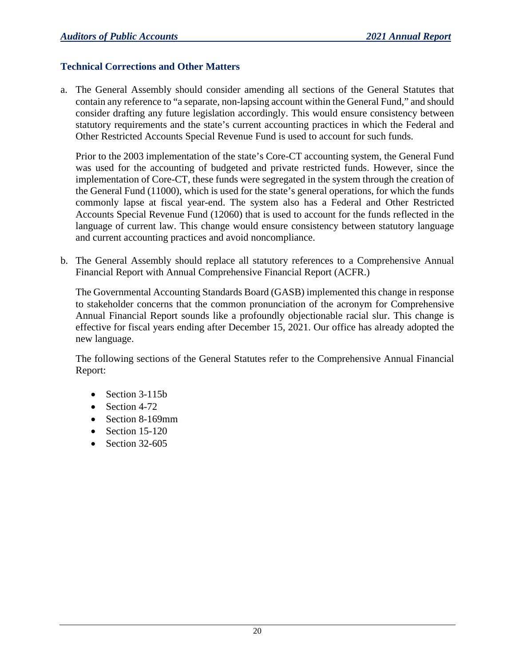## **Technical Corrections and Other Matters**

a. The General Assembly should consider amending all sections of the General Statutes that contain any reference to "a separate, non-lapsing account within the General Fund," and should consider drafting any future legislation accordingly. This would ensure consistency between statutory requirements and the state's current accounting practices in which the Federal and Other Restricted Accounts Special Revenue Fund is used to account for such funds.

Prior to the 2003 implementation of the state's Core-CT accounting system, the General Fund was used for the accounting of budgeted and private restricted funds. However, since the implementation of Core-CT, these funds were segregated in the system through the creation of the General Fund (11000), which is used for the state's general operations, for which the funds commonly lapse at fiscal year-end. The system also has a Federal and Other Restricted Accounts Special Revenue Fund (12060) that is used to account for the funds reflected in the language of current law. This change would ensure consistency between statutory language and current accounting practices and avoid noncompliance.

b. The General Assembly should replace all statutory references to a Comprehensive Annual Financial Report with Annual Comprehensive Financial Report (ACFR.)

The Governmental Accounting Standards Board (GASB) implemented this change in response to stakeholder concerns that the common pronunciation of the acronym for Comprehensive Annual Financial Report sounds like a profoundly objectionable racial slur. This change is effective for fiscal years ending after December 15, 2021. Our office has already adopted the new language.

The following sections of the General Statutes refer to the Comprehensive Annual Financial Report:

- Section 3-115b
- Section 4-72
- Section 8-169mm
- Section 15-120
- Section  $32-605$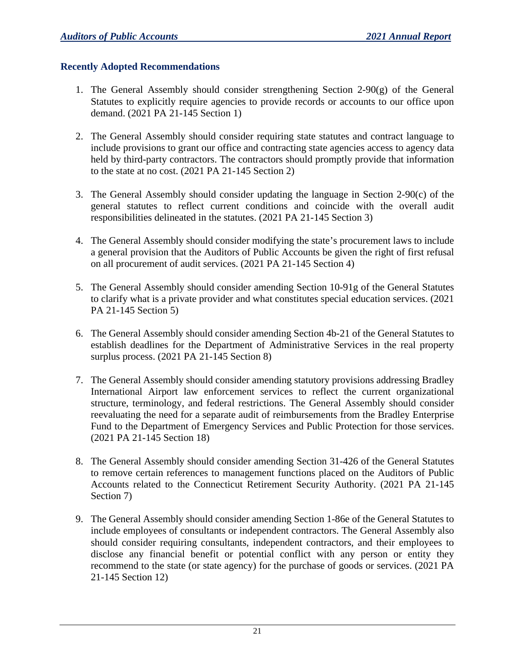#### **Recently Adopted Recommendations**

- 1. The General Assembly should consider strengthening Section 2-90(g) of the General Statutes to explicitly require agencies to provide records or accounts to our office upon demand. (2021 PA 21-145 Section 1)
- 2. The General Assembly should consider requiring state statutes and contract language to include provisions to grant our office and contracting state agencies access to agency data held by third-party contractors. The contractors should promptly provide that information to the state at no cost. (2021 PA 21-145 Section 2)
- 3. The General Assembly should consider updating the language in Section 2-90(c) of the general statutes to reflect current conditions and coincide with the overall audit responsibilities delineated in the statutes. (2021 PA 21-145 Section 3)
- 4. The General Assembly should consider modifying the state's procurement laws to include a general provision that the Auditors of Public Accounts be given the right of first refusal on all procurement of audit services. (2021 PA 21-145 Section 4)
- 5. The General Assembly should consider amending Section 10-91g of the General Statutes to clarify what is a private provider and what constitutes special education services. (2021 PA 21-145 Section 5)
- 6. The General Assembly should consider amending Section 4b-21 of the General Statutes to establish deadlines for the Department of Administrative Services in the real property surplus process. (2021 PA 21-145 Section 8)
- 7. The General Assembly should consider amending statutory provisions addressing Bradley International Airport law enforcement services to reflect the current organizational structure, terminology, and federal restrictions. The General Assembly should consider reevaluating the need for a separate audit of reimbursements from the Bradley Enterprise Fund to the Department of Emergency Services and Public Protection for those services. (2021 PA 21-145 Section 18)
- 8. The General Assembly should consider amending Section 31-426 of the General Statutes to remove certain references to management functions placed on the Auditors of Public Accounts related to the Connecticut Retirement Security Authority. (2021 PA 21-145 Section 7)
- 9. The General Assembly should consider amending Section 1-86e of the General Statutes to include employees of consultants or independent contractors. The General Assembly also should consider requiring consultants, independent contractors, and their employees to disclose any financial benefit or potential conflict with any person or entity they recommend to the state (or state agency) for the purchase of goods or services. (2021 PA 21-145 Section 12)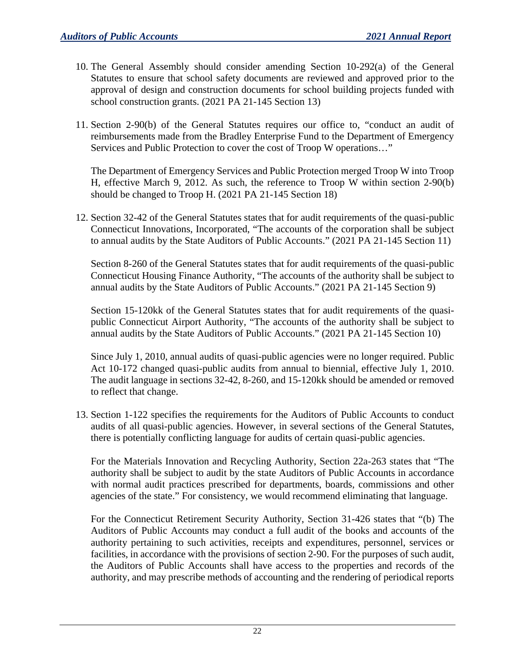- 10. The General Assembly should consider amending Section 10-292(a) of the General Statutes to ensure that school safety documents are reviewed and approved prior to the approval of design and construction documents for school building projects funded with school construction grants. (2021 PA 21-145 Section 13)
- 11. Section 2-90(b) of the General Statutes requires our office to, "conduct an audit of reimbursements made from the Bradley Enterprise Fund to the Department of Emergency Services and Public Protection to cover the cost of Troop W operations…"

The Department of Emergency Services and Public Protection merged Troop W into Troop H, effective March 9, 2012. As such, the reference to Troop W within section 2-90(b) should be changed to Troop H. (2021 PA 21-145 Section 18)

12. Section 32-42 of the General Statutes states that for audit requirements of the quasi-public Connecticut Innovations, Incorporated, "The accounts of the corporation shall be subject to annual audits by the State Auditors of Public Accounts." (2021 PA 21-145 Section 11)

Section 8-260 of the General Statutes states that for audit requirements of the quasi-public Connecticut Housing Finance Authority, "The accounts of the authority shall be subject to annual audits by the State Auditors of Public Accounts." (2021 PA 21-145 Section 9)

Section 15-120kk of the General Statutes states that for audit requirements of the quasipublic Connecticut Airport Authority, "The accounts of the authority shall be subject to annual audits by the State Auditors of Public Accounts." (2021 PA 21-145 Section 10)

Since July 1, 2010, annual audits of quasi-public agencies were no longer required. Public Act 10-172 changed quasi-public audits from annual to biennial, effective July 1, 2010. The audit language in sections 32-42, 8-260, and 15-120kk should be amended or removed to reflect that change.

13. Section 1-122 specifies the requirements for the Auditors of Public Accounts to conduct audits of all quasi-public agencies. However, in several sections of the General Statutes, there is potentially conflicting language for audits of certain quasi-public agencies.

For the Materials Innovation and Recycling Authority, Section 22a-263 states that "The authority shall be subject to audit by the state Auditors of Public Accounts in accordance with normal audit practices prescribed for departments, boards, commissions and other agencies of the state." For consistency, we would recommend eliminating that language.

For the Connecticut Retirement Security Authority, Section 31-426 states that "(b) The Auditors of Public Accounts may conduct a full audit of the books and accounts of the authority pertaining to such activities, receipts and expenditures, personnel, services or facilities, in accordance with the provisions of section 2-90. For the purposes of such audit, the Auditors of Public Accounts shall have access to the properties and records of the authority, and may prescribe methods of accounting and the rendering of periodical reports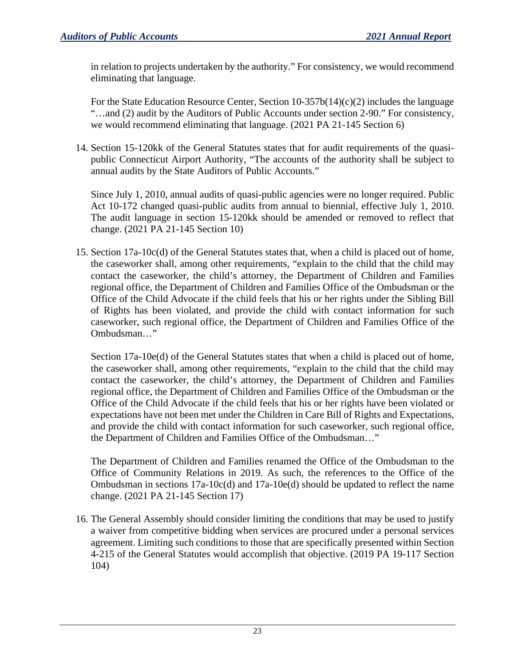in relation to projects undertaken by the authority." For consistency, we would recommend eliminating that language.

For the State Education Resource Center, Section 10-357b(14)(c)(2) includes the language "…and (2) audit by the Auditors of Public Accounts under section 2-90." For consistency, we would recommend eliminating that language. (2021 PA 21-145 Section 6)

14. Section 15-120kk of the General Statutes states that for audit requirements of the quasipublic Connecticut Airport Authority, "The accounts of the authority shall be subject to annual audits by the State Auditors of Public Accounts."

Since July 1, 2010, annual audits of quasi-public agencies were no longer required. Public Act 10-172 changed quasi-public audits from annual to biennial, effective July 1, 2010. The audit language in section 15-120kk should be amended or removed to reflect that change. (2021 PA 21-145 Section 10)

15. Section 17a-10c(d) of the General Statutes states that, when a child is placed out of home, the caseworker shall, among other requirements, "explain to the child that the child may contact the caseworker, the child's attorney, the Department of Children and Families regional office, the Department of Children and Families Office of the Ombudsman or the Office of the Child Advocate if the child feels that his or her rights under the Sibling Bill of Rights has been violated, and provide the child with contact information for such caseworker, such regional office, the Department of Children and Families Office of the Ombudsman…"

Section 17a-10e(d) of the General Statutes states that when a child is placed out of home, the caseworker shall, among other requirements, "explain to the child that the child may contact the caseworker, the child's attorney, the Department of Children and Families regional office, the Department of Children and Families Office of the Ombudsman or the Office of the Child Advocate if the child feels that his or her rights have been violated or expectations have not been met under the Children in Care Bill of Rights and Expectations, and provide the child with contact information for such caseworker, such regional office, the Department of Children and Families Office of the Ombudsman…"

The Department of Children and Families renamed the Office of the Ombudsman to the Office of Community Relations in 2019. As such, the references to the Office of the Ombudsman in sections 17a-10c(d) and 17a-10e(d) should be updated to reflect the name change. (2021 PA 21-145 Section 17)

16. The General Assembly should consider limiting the conditions that may be used to justify a waiver from competitive bidding when services are procured under a personal services agreement. Limiting such conditions to those that are specifically presented within Section 4-215 of the General Statutes would accomplish that objective. (2019 PA 19-117 Section 104)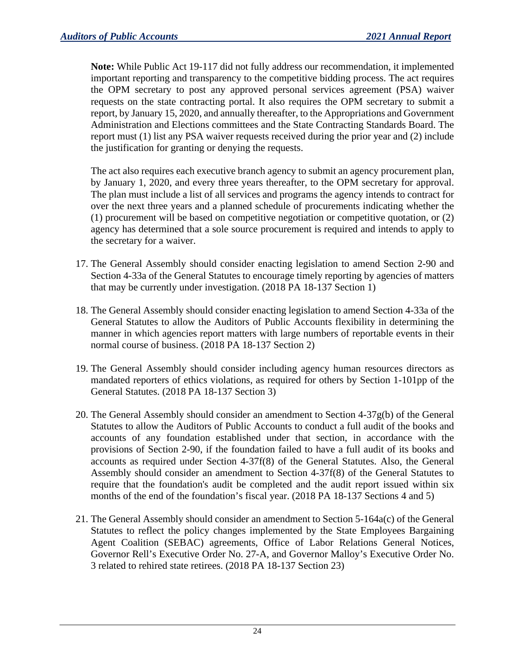**Note:** While Public Act 19-117 did not fully address our recommendation, it implemented important reporting and transparency to the competitive bidding process. The act requires the OPM secretary to post any approved personal services agreement (PSA) waiver requests on the state contracting portal. It also requires the OPM secretary to submit a report, by January 15, 2020, and annually thereafter, to the Appropriations and Government Administration and Elections committees and the State Contracting Standards Board. The report must (1) list any PSA waiver requests received during the prior year and (2) include the justification for granting or denying the requests.

The act also requires each executive branch agency to submit an agency procurement plan, by January 1, 2020, and every three years thereafter, to the OPM secretary for approval. The plan must include a list of all services and programs the agency intends to contract for over the next three years and a planned schedule of procurements indicating whether the (1) procurement will be based on competitive negotiation or competitive quotation, or (2) agency has determined that a sole source procurement is required and intends to apply to the secretary for a waiver.

- 17. The General Assembly should consider enacting legislation to amend Section 2-90 and Section 4-33a of the General Statutes to encourage timely reporting by agencies of matters that may be currently under investigation. (2018 PA 18-137 Section 1)
- 18. The General Assembly should consider enacting legislation to amend Section 4-33a of the General Statutes to allow the Auditors of Public Accounts flexibility in determining the manner in which agencies report matters with large numbers of reportable events in their normal course of business. (2018 PA 18-137 Section 2)
- 19. The General Assembly should consider including agency human resources directors as mandated reporters of ethics violations, as required for others by Section 1-101pp of the General Statutes. (2018 PA 18-137 Section 3)
- 20. The General Assembly should consider an amendment to Section 4-37g(b) of the General Statutes to allow the Auditors of Public Accounts to conduct a full audit of the books and accounts of any foundation established under that section, in accordance with the provisions of Section 2-90, if the foundation failed to have a full audit of its books and accounts as required under Section 4-37f(8) of the General Statutes. Also, the General Assembly should consider an amendment to Section 4-37f(8) of the General Statutes to require that the foundation's audit be completed and the audit report issued within six months of the end of the foundation's fiscal year. (2018 PA 18-137 Sections 4 and 5)
- 21. The General Assembly should consider an amendment to Section 5-164a(c) of the General Statutes to reflect the policy changes implemented by the State Employees Bargaining Agent Coalition (SEBAC) agreements, Office of Labor Relations General Notices, Governor Rell's Executive Order No. 27-A, and Governor Malloy's Executive Order No. 3 related to rehired state retirees. (2018 PA 18-137 Section 23)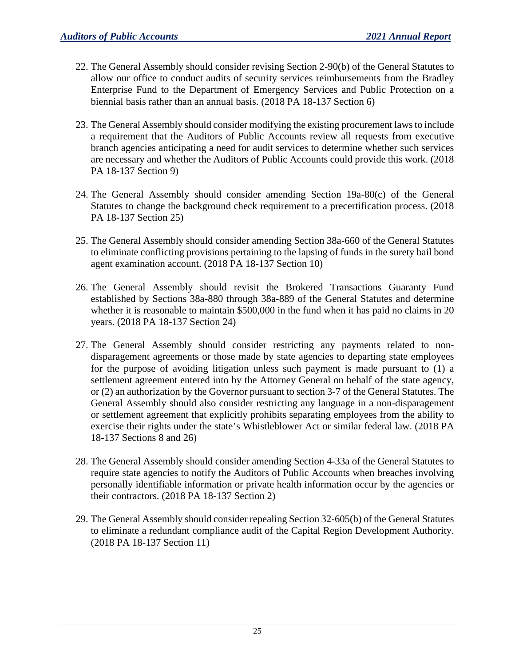- 22. The General Assembly should consider revising Section 2-90(b) of the General Statutes to allow our office to conduct audits of security services reimbursements from the Bradley Enterprise Fund to the Department of Emergency Services and Public Protection on a biennial basis rather than an annual basis. (2018 PA 18-137 Section 6)
- 23. The General Assembly should consider modifying the existing procurement laws to include a requirement that the Auditors of Public Accounts review all requests from executive branch agencies anticipating a need for audit services to determine whether such services are necessary and whether the Auditors of Public Accounts could provide this work. (2018 PA 18-137 Section 9)
- 24. The General Assembly should consider amending Section 19a-80(c) of the General Statutes to change the background check requirement to a precertification process. (2018 PA 18-137 Section 25)
- 25. The General Assembly should consider amending Section 38a-660 of the General Statutes to eliminate conflicting provisions pertaining to the lapsing of funds in the surety bail bond agent examination account. (2018 PA 18-137 Section 10)
- 26. The General Assembly should revisit the Brokered Transactions Guaranty Fund established by Sections 38a-880 through 38a-889 of the General Statutes and determine whether it is reasonable to maintain \$500,000 in the fund when it has paid no claims in 20 years. (2018 PA 18-137 Section 24)
- 27. The General Assembly should consider restricting any payments related to nondisparagement agreements or those made by state agencies to departing state employees for the purpose of avoiding litigation unless such payment is made pursuant to (1) a settlement agreement entered into by the Attorney General on behalf of the state agency, or (2) an authorization by the Governor pursuant to section 3-7 of the General Statutes. The General Assembly should also consider restricting any language in a non-disparagement or settlement agreement that explicitly prohibits separating employees from the ability to exercise their rights under the state's Whistleblower Act or similar federal law. (2018 PA 18-137 Sections 8 and 26)
- 28. The General Assembly should consider amending Section 4-33a of the General Statutes to require state agencies to notify the Auditors of Public Accounts when breaches involving personally identifiable information or private health information occur by the agencies or their contractors. (2018 PA 18-137 Section 2)
- 29. The General Assembly should consider repealing Section 32-605(b) of the General Statutes to eliminate a redundant compliance audit of the Capital Region Development Authority. (2018 PA 18-137 Section 11)